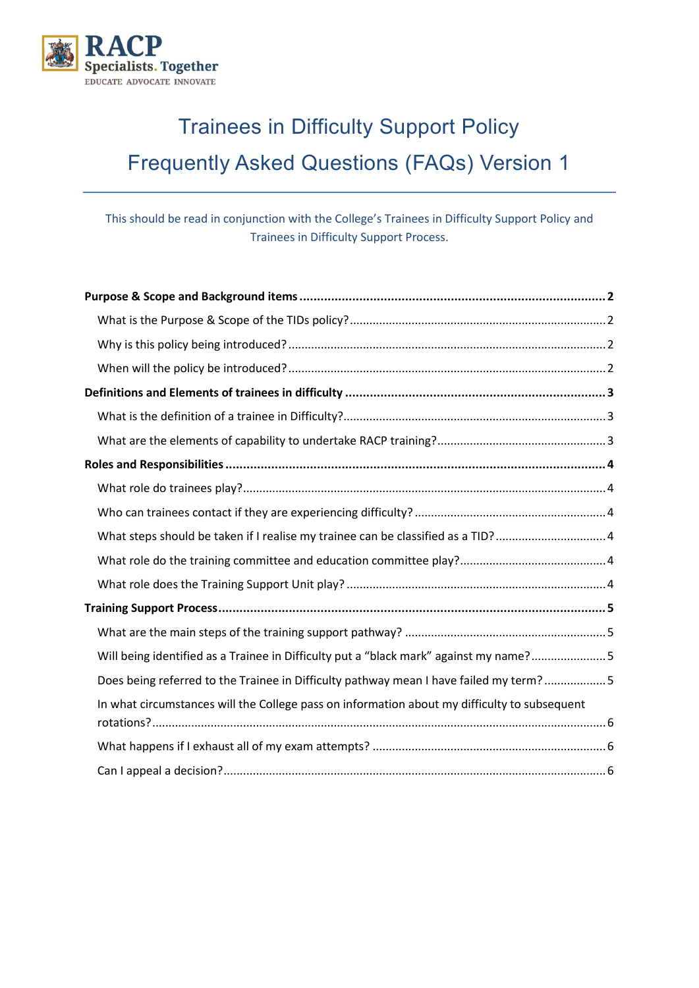

# <span id="page-0-0"></span>Trainees in Difficulty Support Policy Frequently Asked Questions (FAQs) Version 1

This should be read in conjunction with the College's Trainees in Difficulty Support Policy and Trainees in Difficulty Support Process.

| What steps should be taken if I realise my trainee can be classified as a TID?  4            |
|----------------------------------------------------------------------------------------------|
|                                                                                              |
|                                                                                              |
|                                                                                              |
|                                                                                              |
| Will being identified as a Trainee in Difficulty put a "black mark" against my name?5        |
| Does being referred to the Trainee in Difficulty pathway mean I have failed my term?5        |
| In what circumstances will the College pass on information about my difficulty to subsequent |
|                                                                                              |
|                                                                                              |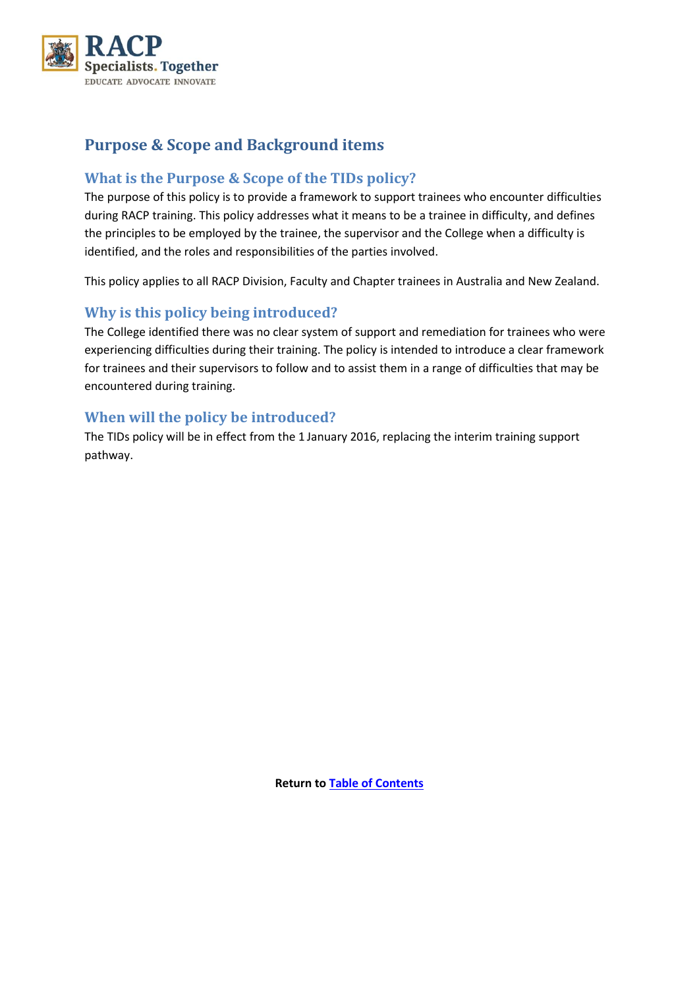

# <span id="page-1-0"></span>**Purpose & Scope and Background items**

## <span id="page-1-1"></span>**What is the Purpose & Scope of the TIDs policy?**

The purpose of this policy is to provide a framework to support trainees who encounter difficulties during RACP training. This policy addresses what it means to be a trainee in difficulty, and defines the principles to be employed by the trainee, the supervisor and the College when a difficulty is identified, and the roles and responsibilities of the parties involved.

This policy applies to all RACP Division, Faculty and Chapter trainees in Australia and New Zealand.

## <span id="page-1-2"></span>**Why is this policy being introduced?**

The College identified there was no clear system of support and remediation for trainees who were experiencing difficulties during their training. The policy is intended to introduce a clear framework for trainees and their supervisors to follow and to assist them in a range of difficulties that may be encountered during training.

#### <span id="page-1-3"></span>**When will the policy be introduced?**

The TIDs policy will be in effect from the 1 January 2016, replacing the interim training support pathway.

**Return t[o Table of Contents](#page-0-0)**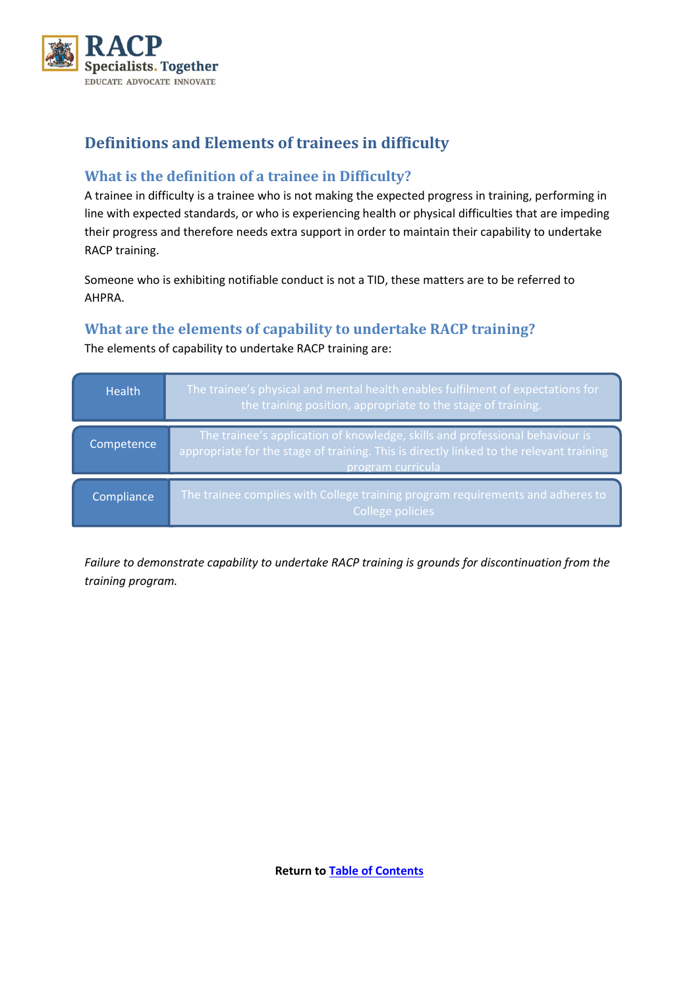

# <span id="page-2-0"></span>**Definitions and Elements of trainees in difficulty**

## <span id="page-2-1"></span>**What is the definition of a trainee in Difficulty?**

A trainee in difficulty is a trainee who is not making the expected progress in training, performing in line with expected standards, or who is experiencing health or physical difficulties that are impeding their progress and therefore needs extra support in order to maintain their capability to undertake RACP training.

Someone who is exhibiting notifiable conduct is not a TID, these matters are to be referred to AHPRA.

## <span id="page-2-2"></span>**What are the elements of capability to undertake RACP training?**

The elements of capability to undertake RACP training are:

| <b>Health</b> | The trainee's physical and mental health enables fulfilment of expectations for<br>the training position, appropriate to the stage of training.                                              |
|---------------|----------------------------------------------------------------------------------------------------------------------------------------------------------------------------------------------|
| Competence    | The trainee's application of knowledge, skills and professional behaviour is<br>appropriate for the stage of training. This is directly linked to the relevant training<br>program curricula |
| Compliance    | The trainee complies with College training program requirements and adheres to<br>College policies                                                                                           |

*Failure to demonstrate capability to undertake RACP training is grounds for discontinuation from the training program.*

**Return t[o Table of Contents](#page-0-0)**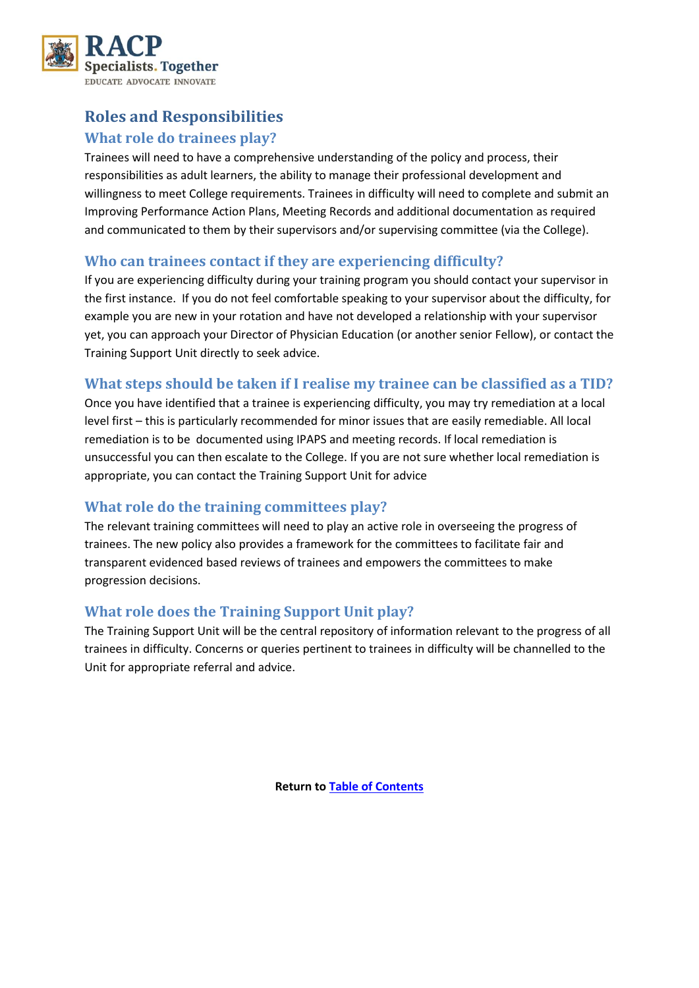

# <span id="page-3-1"></span><span id="page-3-0"></span>**Roles and Responsibilities What role do trainees play?**

Trainees will need to have a comprehensive understanding of the policy and process, their responsibilities as adult learners, the ability to manage their professional development and willingness to meet College requirements. Trainees in difficulty will need to complete and submit an Improving Performance Action Plans, Meeting Records and additional documentation as required and communicated to them by their supervisors and/or supervising committee (via the College).

#### <span id="page-3-2"></span>**Who can trainees contact if they are experiencing difficulty?**

If you are experiencing difficulty during your training program you should contact your supervisor in the first instance. If you do not feel comfortable speaking to your supervisor about the difficulty, for example you are new in your rotation and have not developed a relationship with your supervisor yet, you can approach your Director of Physician Education (or another senior Fellow), or contact the Training Support Unit directly to seek advice.

## <span id="page-3-3"></span>**What steps should be taken if I realise my trainee can be classified as a TID?**

Once you have identified that a trainee is experiencing difficulty, you may try remediation at a local level first – this is particularly recommended for minor issues that are easily remediable. All local remediation is to be documented using IPAPS and meeting records. If local remediation is unsuccessful you can then escalate to the College. If you are not sure whether local remediation is appropriate, you can contact the Training Support Unit for advice

## <span id="page-3-4"></span>**What role do the training committees play?**

The relevant training committees will need to play an active role in overseeing the progress of trainees. The new policy also provides a framework for the committees to facilitate fair and transparent evidenced based reviews of trainees and empowers the committees to make progression decisions.

## <span id="page-3-5"></span>**What role does the Training Support Unit play?**

The Training Support Unit will be the central repository of information relevant to the progress of all trainees in difficulty. Concerns or queries pertinent to trainees in difficulty will be channelled to the Unit for appropriate referral and advice.

**Return t[o Table of Contents](#page-0-0)**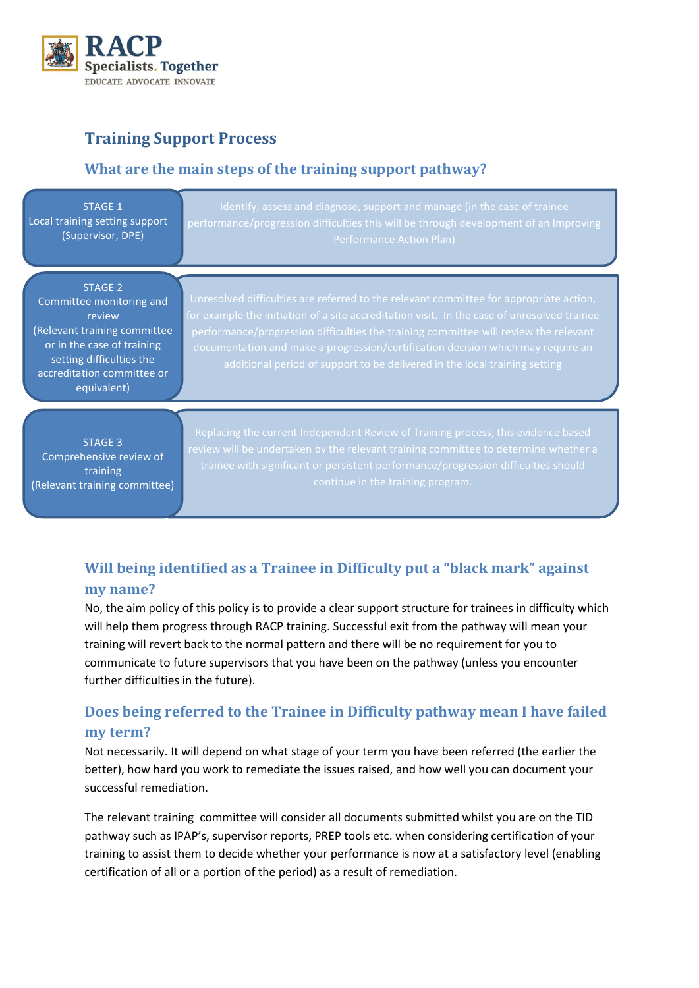

# <span id="page-4-0"></span>**Training Support Process**

## <span id="page-4-1"></span>**What are the main steps of the training support pathway?**

| <b>STAGE 1</b>                                                                                                                                                                              | Identify, assess and diagnose, support and manage (in the case of trainee                                                                                                                                                                                                                                                                                                                                                                       |
|---------------------------------------------------------------------------------------------------------------------------------------------------------------------------------------------|-------------------------------------------------------------------------------------------------------------------------------------------------------------------------------------------------------------------------------------------------------------------------------------------------------------------------------------------------------------------------------------------------------------------------------------------------|
| Local training setting support                                                                                                                                                              | performance/progression difficulties this will be through development of an Improving                                                                                                                                                                                                                                                                                                                                                           |
| (Supervisor, DPE)                                                                                                                                                                           | <b>Performance Action Plan)</b>                                                                                                                                                                                                                                                                                                                                                                                                                 |
| <b>STAGE 2</b><br>Committee monitoring and<br>review<br>(Relevant training committee<br>or in the case of training<br>setting difficulties the<br>accreditation committee or<br>equivalent) | Unresolved difficulties are referred to the relevant committee for appropriate action,<br>for example the initiation of a site accreditation visit. In the case of unresolved trainee<br>performance/progression difficulties the training committee will review the relevant<br>documentation and make a progression/certification decision which may require an<br>additional period of support to be delivered in the local training setting |
| <b>STAGE 3</b>                                                                                                                                                                              | Replacing the current Independent Review of Training process, this evidence based                                                                                                                                                                                                                                                                                                                                                               |
| Comprehensive review of                                                                                                                                                                     | review will be undertaken by the relevant training committee to determine whether a                                                                                                                                                                                                                                                                                                                                                             |
| training                                                                                                                                                                                    | trainee with significant or persistent performance/progression difficulties should                                                                                                                                                                                                                                                                                                                                                              |
| (Relevant training committee)                                                                                                                                                               | continue in the training program.                                                                                                                                                                                                                                                                                                                                                                                                               |

# <span id="page-4-2"></span>**Will being identified as a Trainee in Difficulty put a "black mark" against my name?**

No, the aim policy of this policy is to provide a clear support structure for trainees in difficulty which will help them progress through RACP training. Successful exit from the pathway will mean your training will revert back to the normal pattern and there will be no requirement for you to communicate to future supervisors that you have been on the pathway (unless you encounter further difficulties in the future).

# <span id="page-4-3"></span>**Does being referred to the Trainee in Difficulty pathway mean I have failed my term?**

Not necessarily. It will depend on what stage of your term you have been referred (the earlier the better), how hard you work to remediate the issues raised, and how well you can document your successful remediation.

The relevant training committee will consider all documents submitted whilst you are on the TID pathway such as IPAP's, supervisor reports, PREP tools etc. when considering certification of your training to assist them to decide whether your performance is now at a satisfactory level (enabling certification of all or a portion of the period) as a result of remediation.